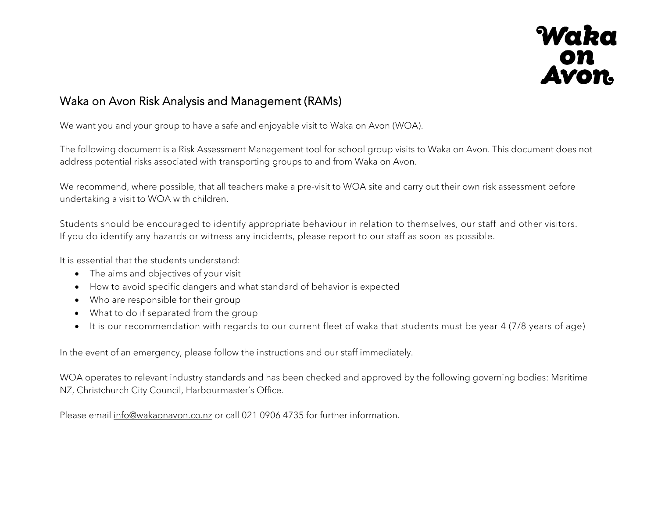

## Waka on Avon Risk Analysis and Management (RAMs)

We want you and your group to have a safe and enjoyable visit to Waka on Avon (WOA).

The following document is a Risk Assessment Management tool for school group visits to Waka on Avon. This document does not address potential risks associated with transporting groups to and from Waka on Avon.

We recommend, where possible, that all teachers make a pre-visit to WOA site and carry out their own risk assessment before undertaking a visit to WOA with children.

Students should be encouraged to identify appropriate behaviour in relation to themselves, our staff and other visitors. If you do identify any hazards or witness any incidents, please report to our staff as soon as possible.

It is essential that the students understand:

- The aims and objectives of your visit
- How to avoid specific dangers and what standard of behavior is expected
- Who are responsible for their group
- What to do if separated from the group
- It is our recommendation with regards to our current fleet of waka that students must be year 4 (7/8 years of age)

In the event of an emergency, please follow the instructions and our staff immediately.

WOA operates to relevant industry standards and has been checked and approved by the following governing bodies: Maritime NZ, Christchurch City Council, Harbourmaster's Office.

Please email info@wakaonavon.co.nz or call 021 0906 4735 for further information.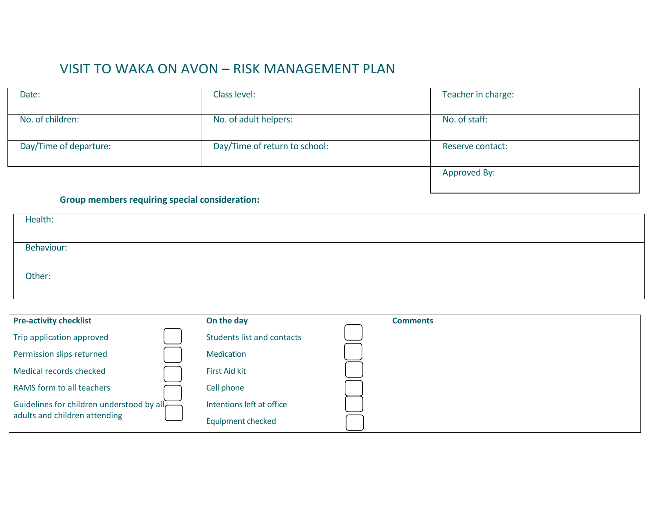## VISIT TO WAKA ON AVON – RISK MANAGEMENT PLAN

| Date:                  | Class level:                  | Teacher in charge: |
|------------------------|-------------------------------|--------------------|
|                        |                               |                    |
| No. of children:       | No. of adult helpers:         | No. of staff:      |
|                        |                               |                    |
| Day/Time of departure: | Day/Time of return to school: | Reserve contact:   |
|                        |                               |                    |
|                        |                               | Approved By:       |
|                        |                               |                    |

## **Group members requiring special consideration:**

| Health:    |  |
|------------|--|
|            |  |
| Behaviour: |  |
|            |  |
| Other:     |  |

| <b>Pre-activity checklist</b>             | On the day                        | <b>Comments</b> |
|-------------------------------------------|-----------------------------------|-----------------|
| Trip application approved                 | <b>Students list and contacts</b> |                 |
| Permission slips returned                 | Medication                        |                 |
| Medical records checked                   | <b>First Aid kit</b>              |                 |
| RAMS form to all teachers                 | Cell phone                        |                 |
| Guidelines for children understood by all | Intentions left at office         |                 |
| adults and children attending             | <b>Equipment checked</b>          |                 |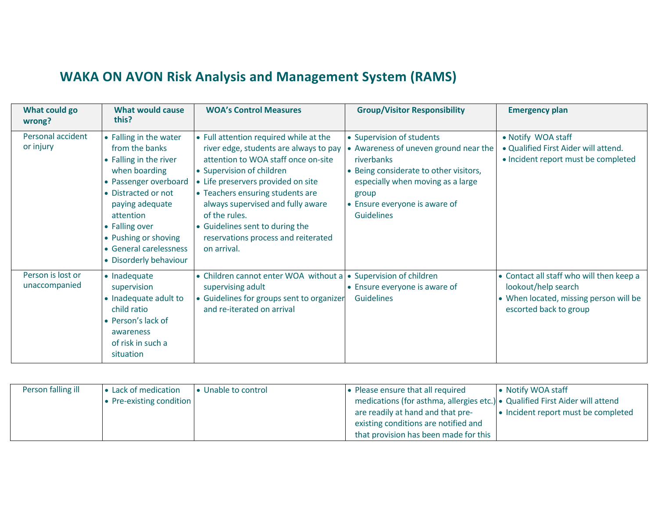## **WAKA ON AVON Risk Analysis and Management System (RAMS)**

| What could go<br>wrong?            | <b>What would cause</b><br>this?                                                                                                                                                                                                                                  | <b>WOA's Control Measures</b>                                                                                                                                                                                                                                                                                                                                                 | <b>Group/Visitor Responsibility</b>                                                                                                                                                                                            | <b>Emergency plan</b>                                                                                                               |
|------------------------------------|-------------------------------------------------------------------------------------------------------------------------------------------------------------------------------------------------------------------------------------------------------------------|-------------------------------------------------------------------------------------------------------------------------------------------------------------------------------------------------------------------------------------------------------------------------------------------------------------------------------------------------------------------------------|--------------------------------------------------------------------------------------------------------------------------------------------------------------------------------------------------------------------------------|-------------------------------------------------------------------------------------------------------------------------------------|
| Personal accident<br>or injury     | • Falling in the water<br>from the banks<br>• Falling in the river<br>when boarding<br>• Passenger overboard<br>• Distracted or not<br>paying adequate<br>attention<br>• Falling over<br>• Pushing or shoving<br>• General carelessness<br>• Disorderly behaviour | • Full attention required while at the<br>river edge, students are always to pay<br>attention to WOA staff once on-site<br>• Supervision of children<br>• Life preservers provided on site<br>• Teachers ensuring students are<br>always supervised and fully aware<br>of the rules.<br>• Guidelines sent to during the<br>reservations process and reiterated<br>on arrival. | • Supervision of students<br>• Awareness of uneven ground near the<br>riverbanks<br>• Being considerate to other visitors,<br>especially when moving as a large<br>group<br>• Ensure everyone is aware of<br><b>Guidelines</b> | • Notify WOA staff<br>· Qualified First Aider will attend.<br>• Incident report must be completed                                   |
| Person is lost or<br>unaccompanied | • Inadequate<br>supervision<br>• Inadequate adult to<br>child ratio<br>• Person's lack of<br>awareness<br>of risk in such a<br>situation                                                                                                                          | • Children cannot enter WOA without a • Supervision of children<br>supervising adult<br>• Guidelines for groups sent to organizer<br>and re-iterated on arrival                                                                                                                                                                                                               | • Ensure everyone is aware of<br><b>Guidelines</b>                                                                                                                                                                             | • Contact all staff who will then keep a<br>lookout/help search<br>• When located, missing person will be<br>escorted back to group |

| Person falling ill | • Lack of medication     | • Unable to control | • Please ensure that all required                                            | • Notify WOA staff                  |
|--------------------|--------------------------|---------------------|------------------------------------------------------------------------------|-------------------------------------|
|                    | • Pre-existing condition |                     | medications (for asthma, allergies etc.) • Qualified First Aider will attend |                                     |
|                    |                          |                     | are readily at hand and that pre-                                            | • Incident report must be completed |
|                    |                          |                     | existing conditions are notified and                                         |                                     |
|                    |                          |                     | that provision has been made for this                                        |                                     |